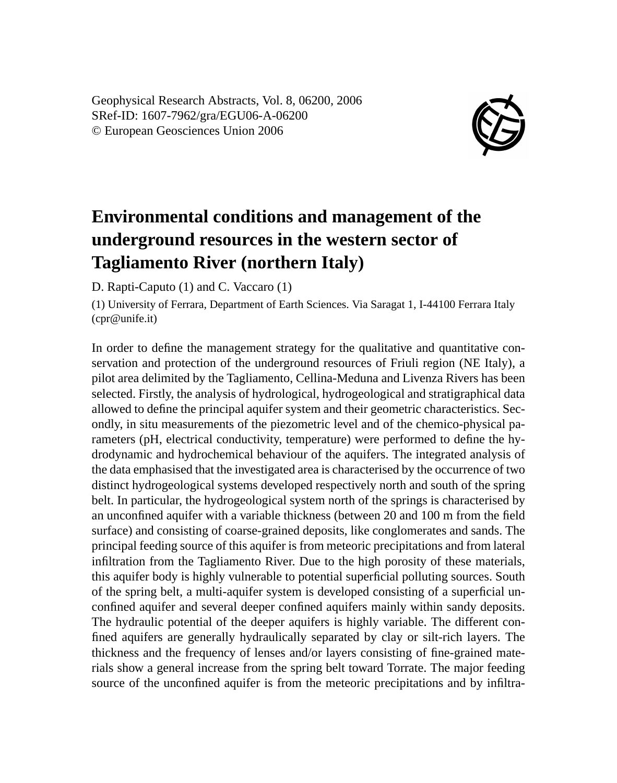Geophysical Research Abstracts, Vol. 8, 06200, 2006 SRef-ID: 1607-7962/gra/EGU06-A-06200 © European Geosciences Union 2006



## **Environmental conditions and management of the underground resources in the western sector of Tagliamento River (northern Italy)**

D. Rapti-Caputo (1) and C. Vaccaro (1)

(1) University of Ferrara, Department of Earth Sciences. Via Saragat 1, I-44100 Ferrara Italy (cpr@unife.it)

In order to define the management strategy for the qualitative and quantitative conservation and protection of the underground resources of Friuli region (NE Italy), a pilot area delimited by the Tagliamento, Cellina-Meduna and Livenza Rivers has been selected. Firstly, the analysis of hydrological, hydrogeological and stratigraphical data allowed to define the principal aquifer system and their geometric characteristics. Secondly, in situ measurements of the piezometric level and of the chemico-physical parameters (pH, electrical conductivity, temperature) were performed to define the hydrodynamic and hydrochemical behaviour of the aquifers. The integrated analysis of the data emphasised that the investigated area is characterised by the occurrence of two distinct hydrogeological systems developed respectively north and south of the spring belt. In particular, the hydrogeological system north of the springs is characterised by an unconfined aquifer with a variable thickness (between 20 and 100 m from the field surface) and consisting of coarse-grained deposits, like conglomerates and sands. The principal feeding source of this aquifer is from meteoric precipitations and from lateral infiltration from the Tagliamento River. Due to the high porosity of these materials, this aquifer body is highly vulnerable to potential superficial polluting sources. South of the spring belt, a multi-aquifer system is developed consisting of a superficial unconfined aquifer and several deeper confined aquifers mainly within sandy deposits. The hydraulic potential of the deeper aquifers is highly variable. The different confined aquifers are generally hydraulically separated by clay or silt-rich layers. The thickness and the frequency of lenses and/or layers consisting of fine-grained materials show a general increase from the spring belt toward Torrate. The major feeding source of the unconfined aquifer is from the meteoric precipitations and by infiltra-